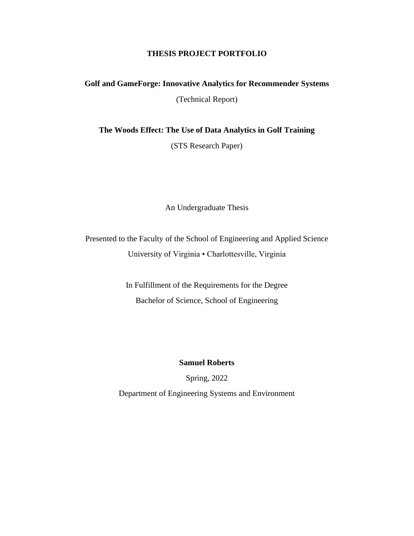## **THESIS PROJECT PORTFOLIO**

# **Golf and GameForge: Innovative Analytics for Recommender Systems** (Technical Report)

**The Woods Effect: The Use of Data Analytics in Golf Training**

(STS Research Paper)

An Undergraduate Thesis

Presented to the Faculty of the School of Engineering and Applied Science University of Virginia • Charlottesville, Virginia

> In Fulfillment of the Requirements for the Degree Bachelor of Science, School of Engineering

> > **Samuel Roberts**

Spring, 2022

Department of Engineering Systems and Environment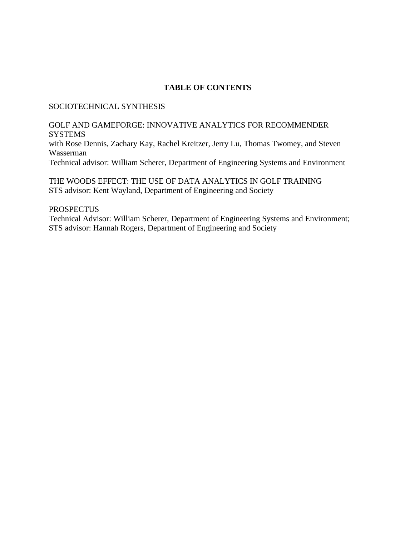### **TABLE OF CONTENTS**

#### SOCIOTECHNICAL SYNTHESIS

# GOLF AND GAMEFORGE: INNOVATIVE ANALYTICS FOR RECOMMENDER **SYSTEMS** with Rose Dennis, Zachary Kay, Rachel Kreitzer, Jerry Lu, Thomas Twomey, and Steven Wasserman

Technical advisor: William Scherer, Department of Engineering Systems and Environment

THE WOODS EFFECT: THE USE OF DATA ANALYTICS IN GOLF TRAINING STS advisor: Kent Wayland, Department of Engineering and Society

#### **PROSPECTUS**

Technical Advisor: William Scherer, Department of Engineering Systems and Environment; STS advisor: Hannah Rogers, Department of Engineering and Society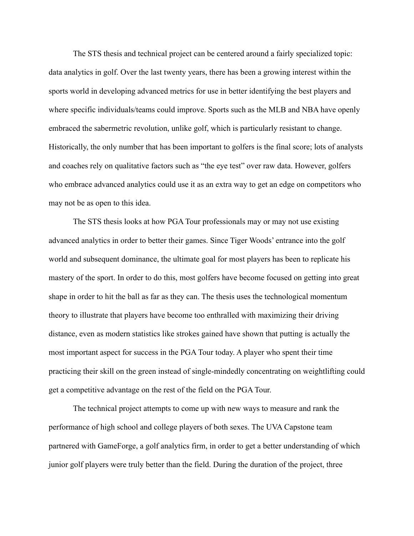The STS thesis and technical project can be centered around a fairly specialized topic: data analytics in golf. Over the last twenty years, there has been a growing interest within the sports world in developing advanced metrics for use in better identifying the best players and where specific individuals/teams could improve. Sports such as the MLB and NBA have openly embraced the sabermetric revolution, unlike golf, which is particularly resistant to change. Historically, the only number that has been important to golfers is the final score; lots of analysts and coaches rely on qualitative factors such as "the eye test" over raw data. However, golfers who embrace advanced analytics could use it as an extra way to get an edge on competitors who may not be as open to this idea.

The STS thesis looks at how PGA Tour professionals may or may not use existing advanced analytics in order to better their games. Since Tiger Woods' entrance into the golf world and subsequent dominance, the ultimate goal for most players has been to replicate his mastery of the sport. In order to do this, most golfers have become focused on getting into great shape in order to hit the ball as far as they can. The thesis uses the technological momentum theory to illustrate that players have become too enthralled with maximizing their driving distance, even as modern statistics like strokes gained have shown that putting is actually the most important aspect for success in the PGA Tour today. A player who spent their time practicing their skill on the green instead of single-mindedly concentrating on weightlifting could get a competitive advantage on the rest of the field on the PGA Tour.

The technical project attempts to come up with new ways to measure and rank the performance of high school and college players of both sexes. The UVA Capstone team partnered with GameForge, a golf analytics firm, in order to get a better understanding of which junior golf players were truly better than the field. During the duration of the project, three